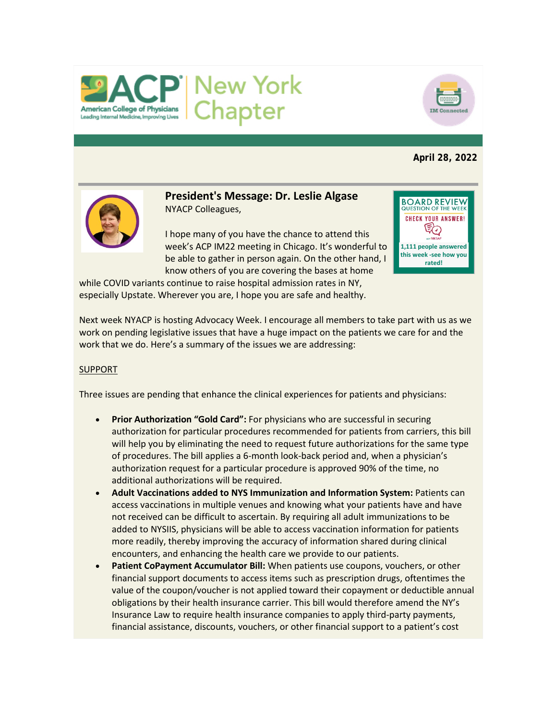



## **April 28, 2022**



**President's Message: Dr. Leslie Algase** NYACP Colleagues,

I hope many of you have the chance to attend this week's ACP IM22 meeting in Chicago. It's wonderful to be able to gather in person again. On the other hand, I know others of you are covering the bases at home



while COVID variants continue to raise hospital admission rates in NY, especially Upstate. Wherever you are, I hope you are safe and healthy.

Next week NYACP is hosting Advocacy Week. I encourage all members to take part with us as we work on pending legislative issues that have a huge impact on the patients we care for and the work that we do. Here's a summary of the issues we are addressing:

## SUPPORT

Three issues are pending that enhance the clinical experiences for patients and physicians:

- **Prior Authorization "Gold Card":** For physicians who are successful in securing authorization for particular procedures recommended for patients from carriers, this bill will help you by eliminating the need to request future authorizations for the same type of procedures. The bill applies a 6-month look-back period and, when a physician's authorization request for a particular procedure is approved 90% of the time, no additional authorizations will be required.
- **Adult Vaccinations added to NYS Immunization and Information System:** Patients can access vaccinations in multiple venues and knowing what your patients have and have not received can be difficult to ascertain. By requiring all adult immunizations to be added to NYSIIS, physicians will be able to access vaccination information for patients more readily, thereby improving the accuracy of information shared during clinical encounters, and enhancing the health care we provide to our patients.
- Patient CoPayment Accumulator Bill: When patients use coupons, vouchers, or other financial support documents to access items such as prescription drugs, oftentimes the value of the coupon/voucher is not applied toward their copayment or deductible annual obligations by their health insurance carrier. This bill would therefore amend the NY's Insurance Law to require health insurance companies to apply third-party payments, financial assistance, discounts, vouchers, or other financial support to a patient's cost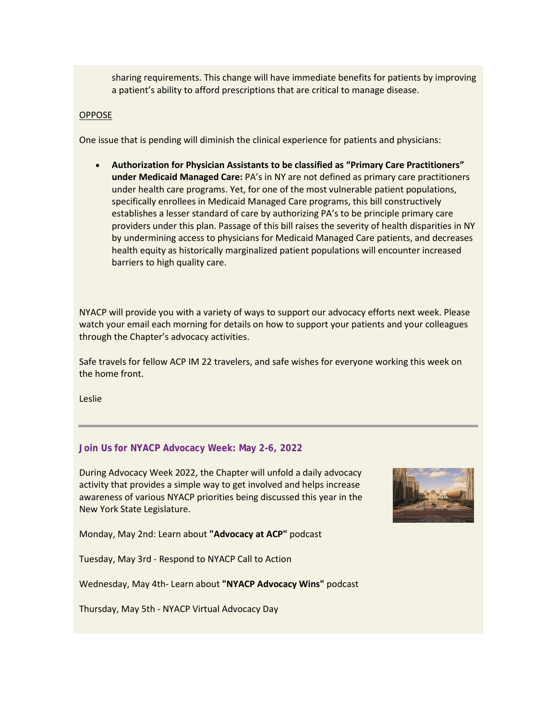sharing requirements. This change will have immediate benefits for patients by improving a patient's ability to afford prescriptions that are critical to manage disease.

#### OPPOSE

One issue that is pending will diminish the clinical experience for patients and physicians:

• **Authorization for Physician Assistants to be classified as "Primary Care Practitioners" under Medicaid Managed Care:** PA's in NY are not defined as primary care practitioners under health care programs. Yet, for one of the most vulnerable patient populations, specifically enrollees in Medicaid Managed Care programs, this bill constructively establishes a lesser standard of care by authorizing PA's to be principle primary care providers under this plan. Passage of this bill raises the severity of health disparities in NY by undermining access to physicians for Medicaid Managed Care patients, and decreases health equity as historically marginalized patient populations will encounter increased barriers to high quality care.

NYACP will provide you with a variety of ways to support our advocacy efforts next week. Please watch your email each morning for details on how to support your patients and your colleagues through the Chapter's advocacy activities.

Safe travels for fellow ACP IM 22 travelers, and safe wishes for everyone working this week on the home front.

Leslie

# **Join Us for NYACP Advocacy Week: May 2-6, 2022**

During Advocacy Week 2022, the Chapter will unfold a daily advocacy activity that provides a simple way to get involved and helps increase awareness of various NYACP priorities being discussed this year in the New York State Legislature.



Monday, May 2nd: Learn about **"Advocacy at ACP"** podcast

Tuesday, May 3rd - Respond to NYACP Call to Action

Wednesday, May 4th- Learn about **"NYACP Advocacy Wins"** podcast

Thursday, May 5th - NYACP Virtual Advocacy Day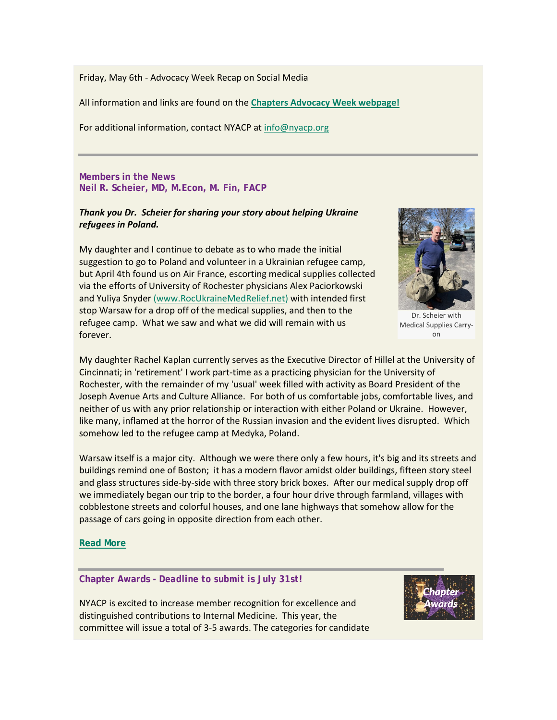Friday, May 6th - Advocacy Week Recap on Social Media

All information and links are found on the **[Chapters Advocacy Week webpage!](https://www.votervoice.net/BroadcastLinks/ZMxKL9p6vQS271-h5xz35A)**

For additional information, contact NYACP at [info@nyacp.org](mailto:info@nyacp.org)

**Members in the News Neil R. Scheier, MD, M.Econ, M. Fin, FACP**

# *Thank you Dr. Scheier for sharing your story about helping Ukraine refugees in Poland.*

My daughter and I continue to debate as to who made the initial suggestion to go to Poland and volunteer in a Ukrainian refugee camp, but April 4th found us on Air France, escorting medical supplies collected via the efforts of University of Rochester physicians Alex Paciorkowski and Yuliya Snyder [\(www.RocUkraineMedRelief.net\)](http://www.rocukrainemedrelief.net/) with intended first stop Warsaw for a drop off of the medical supplies, and then to the refugee camp. What we saw and what we did will remain with us forever.



Dr. Scheier with Medical Supplies Carryon

My daughter Rachel Kaplan currently serves as the Executive Director of Hillel at the University of Cincinnati; in 'retirement' I work part-time as a practicing physician for the University of Rochester, with the remainder of my 'usual' week filled with activity as Board President of the Joseph Avenue Arts and Culture Alliance. For both of us comfortable jobs, comfortable lives, and neither of us with any prior relationship or interaction with either Poland or Ukraine. However, like many, inflamed at the horror of the Russian invasion and the evident lives disrupted. Which somehow led to the refugee camp at Medyka, Poland.

Warsaw itself is a major city. Although we were there only a few hours, it's big and its streets and buildings remind one of Boston; it has a modern flavor amidst older buildings, fifteen story steel and glass structures side-by-side with three story brick boxes. After our medical supply drop off we immediately began our trip to the border, a four hour drive through farmland, villages with cobblestone streets and colorful houses, and one lane highways that somehow allow for the passage of cars going in opposite direction from each other.

## **[Read More](https://www.votervoice.net/BroadcastLinks/gcySJZwxxia4jBbm_zPm_g)**

## **Chapter Awards -** *Deadline to submit is July 31st!*

NYACP is excited to increase member recognition for excellence and distinguished contributions to Internal Medicine. This year, the committee will issue a total of 3-5 awards. The categories for candidate

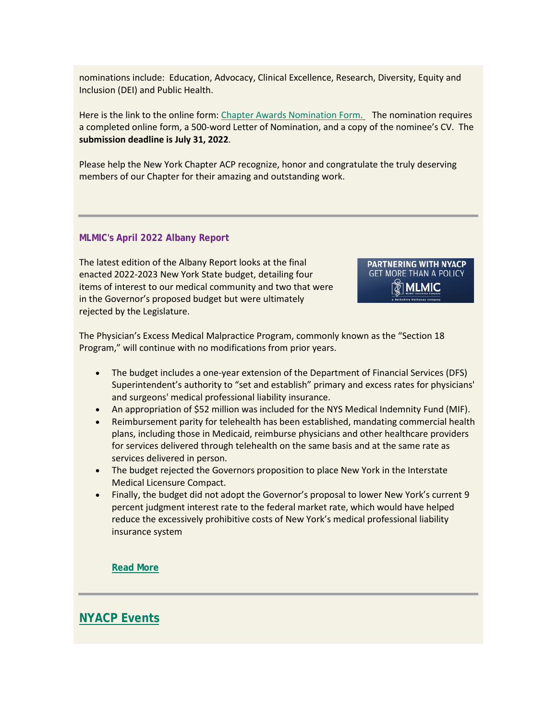nominations include: Education, Advocacy, Clinical Excellence, Research, Diversity, Equity and Inclusion (DEI) and Public Health.

Here is the link to the online form: [Chapter Awards Nomination Form.](https://www.votervoice.net/BroadcastLinks/1giOJfufnY8MMBIBjk9oaA) The nomination requires a completed online form, a 500-word Letter of Nomination, and a copy of the nominee's CV. The **submission deadline is July 31, 2022**.

Please help the New York Chapter ACP recognize, honor and congratulate the truly deserving members of our Chapter for their amazing and outstanding work.

#### **MLMIC's April 2022 Albany Report**

The latest edition of the Albany Report looks at the final enacted 2022-2023 New York State budget, detailing four items of interest to our medical community and two that were in the Governor's proposed budget but were ultimately rejected by the Legislature.

**PARTNERING WITH NYACP GET MORE THAN A POLICY MLMIC** 

The Physician's Excess Medical Malpractice Program, commonly known as the "Section 18 Program," will continue with no modifications from prior years.

- The budget includes a one-year extension of the Department of Financial Services (DFS) Superintendent's authority to "set and establish" primary and excess rates for physicians' and surgeons' medical professional liability insurance.
- An appropriation of \$52 million was included for the NYS Medical Indemnity Fund (MIF).
- Reimbursement parity for telehealth has been established, mandating commercial health plans, including those in Medicaid, reimburse physicians and other healthcare providers for services delivered through telehealth on the same basis and at the same rate as services delivered in person.
- The budget rejected the Governors proposition to place New York in the Interstate Medical Licensure Compact.
- Finally, the budget did not adopt the Governor's proposal to lower New York's current 9 percent judgment interest rate to the federal market rate, which would have helped reduce the excessively prohibitive costs of New York's medical professional liability insurance system

**[Read More](https://www.votervoice.net/BroadcastLinks/Lykm9oGFj8UOa917Vac-Kw)**

**[NYACP Events](https://www.votervoice.net/BroadcastLinks/xPdk22u6mtCOxncwctesLg)**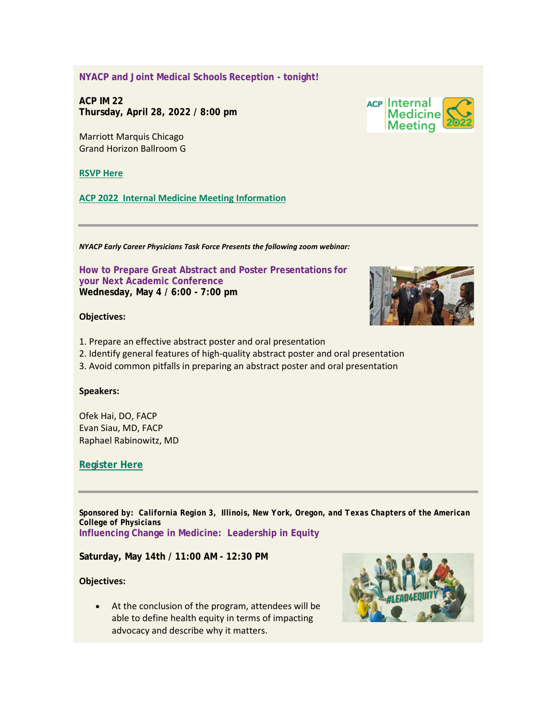**NYACP and Joint Medical Schools Reception - tonight!**

**ACP IM 22 Thursday, April 28, 2022 / 8:00 pm**

Marriott Marquis Chicago Grand Horizon Ballroom G

**[RSVP Here](mailto:aidiong@nyacp.org)**

**[ACP 2022 Internal Medicine Meeting Information](https://www.votervoice.net/BroadcastLinks/AqOHdC-u3-oEmWRa0otY-A)**

*NYACP Early Career Physicians Task Force Presents the following zoom webinar:*

**How to Prepare Great Abstract and Poster Presentations for your Next Academic Conference Wednesday, May 4 / 6:00 - 7:00 pm**

#### **Objectives:**

- 1. Prepare an effective abstract poster and oral presentation
- 2. Identify general features of high-quality abstract poster and oral presentation
- 3. Avoid common pitfalls in preparing an abstract poster and oral presentation

#### **Speakers:**

Ofek Hai, DO, FACP Evan Siau, MD, FACP Raphael Rabinowitz, MD

## **[Register Here](https://www.votervoice.net/BroadcastLinks/xaHGUGXYbhqZ5N2BqQlokQ)**

*Sponsored by: California Region 3, Illinois, New York, Oregon, and Texas Chapters of the American College of Physicians* **Influencing Change in Medicine: Leadership in Equity**

**Saturday, May 14th / 11:00 AM - 12:30 PM**

**Objectives:**

• At the conclusion of the program, attendees will be able to define health equity in terms of impacting advocacy and describe why it matters.





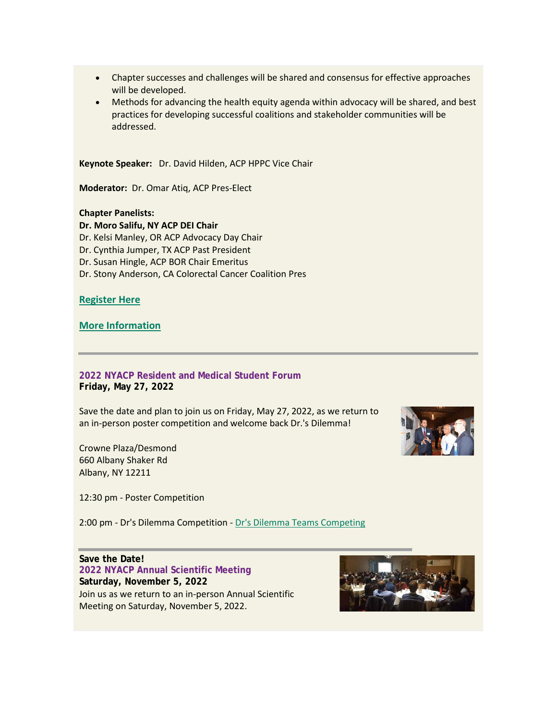- Chapter successes and challenges will be shared and consensus for effective approaches will be developed.
- Methods for advancing the health equity agenda within advocacy will be shared, and best practices for developing successful coalitions and stakeholder communities will be addressed.

**Keynote Speaker:** Dr. David Hilden, ACP HPPC Vice Chair

**Moderator:** Dr. Omar Atiq, ACP Pres-Elect

**Chapter Panelists:**

**Dr. Moro Salifu, NY ACP DEI Chair** Dr. Kelsi Manley, OR ACP Advocacy Day Chair Dr. Cynthia Jumper, TX ACP Past President Dr. Susan Hingle, ACP BOR Chair Emeritus Dr. Stony Anderson, CA Colorectal Cancer Coalition Pres

**[Register Here](https://www.votervoice.net/BroadcastLinks/XVC2gDyWncmO2QPAu8FlgQ)**

**[More Information](https://www.votervoice.net/BroadcastLinks/Fq2NmLejNL4E7T_Nj2lwHg)**

**2022 NYACP Resident and Medical Student Forum Friday, May 27, 2022**

Save the date and plan to join us on Friday, May 27, 2022, as we return to an in-person poster competition and welcome back Dr.'s Dilemma!

Crowne Plaza/Desmond 660 Albany Shaker Rd Albany, NY 12211

12:30 pm - Poster Competition

2:00 pm - Dr's Dilemma Competition - [Dr's Dilemma Teams Competing](https://www.votervoice.net/BroadcastLinks/o4EBoVWdReFubIhkJjTwuA)

**Save the Date! 2022 NYACP Annual Scientific Meeting Saturday, November 5, 2022** Join us as we return to an in-person Annual Scientific Meeting on Saturday, November 5, 2022.